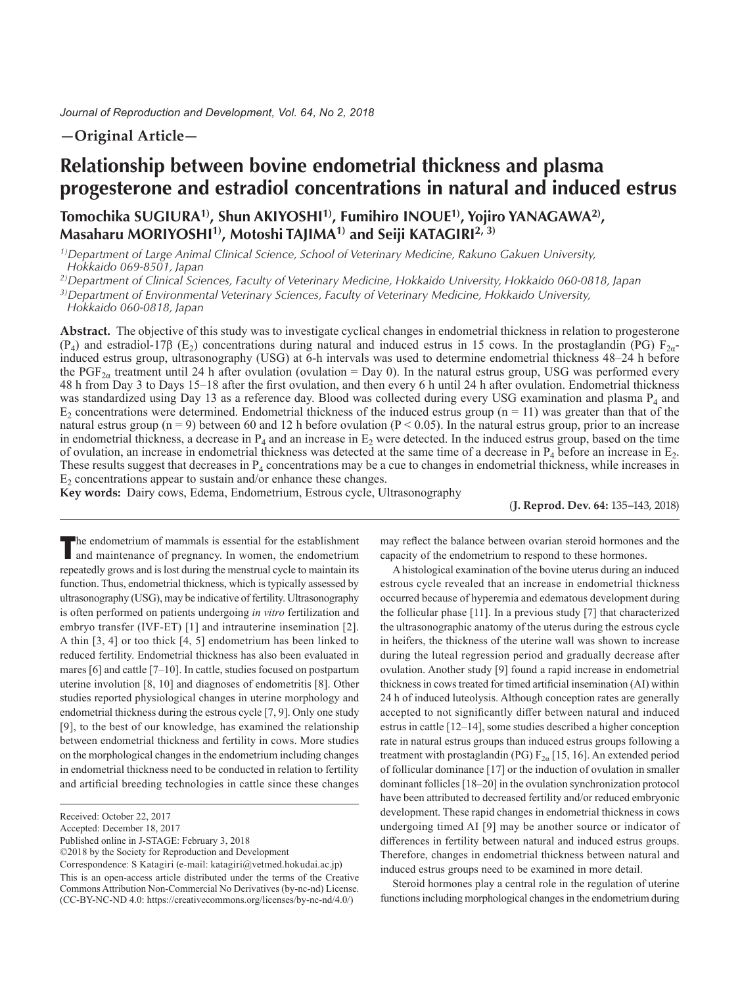# **—Original Article—**

# **Relationship between bovine endometrial thickness and plasma progesterone and estradiol concentrations in natural and induced estrus**

# **Tomochika SUGIURA1), Shun AKIYOSHI1), Fumihiro INOUE1), Yojiro YANAGAWA2), Masaharu MORIYOSHI1), Motoshi TAJIMA1) and Seiji KATAGIRI2, 3)**

*1)Department of Large Animal Clinical Science, School of Veterinary Medicine, Rakuno Gakuen University, Hokkaido 069-8501, Japan*

*2)Department of Clinical Sciences, Faculty of Veterinary Medicine, Hokkaido University, Hokkaido 060-0818, Japan*

*3)Department of Environmental Veterinary Sciences, Faculty of Veterinary Medicine, Hokkaido University,* 

*Hokkaido 060-0818, Japan*

**Abstract.** The objective of this study was to investigate cyclical changes in endometrial thickness in relation to progesterone (P<sub>4</sub>) and estradiol-17β (E<sub>2</sub>) concentrations during natural and induced estrus in 15 cows. In the prostaglandin (PG) F<sub>2α</sub>induced estrus group, ultrasonography (USG) at 6-h intervals was used to determine endometrial thickness 48–24 h before the PGF<sub>2a</sub> treatment until 24 h after ovulation (ovulation = Day 0). In the natural estrus group, USG was performed every 48 h from Day 3 to Days 15–18 after the first ovulation, and then every 6 h until 24 h after ovulation. Endometrial thickness was standardized using Day 13 as a reference day. Blood was collected during every USG examination and plasma P<sub>4</sub> and  $E_2$  concentrations were determined. Endometrial thickness of the induced estrus group (n = 11) was greater than that of the natural estrus group ( $n = 9$ ) between 60 and 12 h before ovulation ( $P < 0.05$ ). In the natural estrus group, prior to an increase in endometrial thickness, a decrease in  $P_4$  and an increase in  $E_2$  were detected. In the induced estrus group, based on the time of ovulation, an increase in endometrial thickness was detected at the same time of a decrease in  $P_4$  before an increase in  $E_2$ . These results suggest that decreases in  $P_4$  concentrations may be a cue to changes in endometrial thickness, while increases in  $E<sub>2</sub>$  concentrations appear to sustain and/or enhance these changes.

**Key words:** Dairy cows, Edema, Endometrium, Estrous cycle, Ultrasonography

(**J. Reprod. Dev. 64:** 135**–**143, 2018)

The endometrium of mammals is essential for the establishment and maintenance of pregnancy. In women, the endometrium repeatedly grows and is lost during the menstrual cycle to maintain its function. Thus, endometrial thickness, which is typically assessed by ultrasonography (USG), may be indicative of fertility. Ultrasonography is often performed on patients undergoing *in vitro* fertilization and embryo transfer (IVF-ET) [\[1\]](#page-7-0) and intrauterine insemination [[2\]](#page-7-1). A thin [[3, 4\]](#page-7-2) or too thick [[4, 5\]](#page-7-3) endometrium has been linked to reduced fertility. Endometrial thickness has also been evaluated in mares [[6](#page-7-4)] and cattle [\[7–10](#page-7-5)]. In cattle, studies focused on postpartum uterine involution [\[8, 10\]](#page-7-6) and diagnoses of endometritis [\[8\]](#page-7-6). Other studies reported physiological changes in uterine morphology and endometrial thickness during the estrous cycle [[7, 9\]](#page-7-5). Only one study [\[9\]](#page-7-7), to the best of our knowledge, has examined the relationship between endometrial thickness and fertility in cows. More studies on the morphological changes in the endometrium including changes in endometrial thickness need to be conducted in relation to fertility and artificial breeding technologies in cattle since these changes

Published online in J-STAGE: February 3, 2018

©2018 by the Society for Reproduction and Development

Correspondence: S Katagiri (e-mail: katagiri@vetmed.hokudai.ac.jp) This is an open-access article distributed under the terms of the Creative Commons Attribution Non-Commercial No Derivatives (by-nc-nd) License. (CC-BY-NC-ND 4.0: [https://creativecommons.org/licenses/by-nc-nd/4.0/\)](https://creativecommons.org/licenses/by-nc-nd/4.0/)

may reflect the balance between ovarian steroid hormones and the capacity of the endometrium to respond to these hormones.

A histological examination of the bovine uterus during an induced estrous cycle revealed that an increase in endometrial thickness occurred because of hyperemia and edematous development during the follicular phase [\[11](#page-7-8)]. In a previous study [[7](#page-7-5)] that characterized the ultrasonographic anatomy of the uterus during the estrous cycle in heifers, the thickness of the uterine wall was shown to increase during the luteal regression period and gradually decrease after ovulation. Another study [[9](#page-7-7)] found a rapid increase in endometrial thickness in cows treated for timed artificial insemination (AI) within 24 h of induced luteolysis. Although conception rates are generally accepted to not significantly differ between natural and induced estrus in cattle [\[12–14](#page-7-9)], some studies described a higher conception rate in natural estrus groups than induced estrus groups following a treatment with prostaglandin (PG)  $F_{2\alpha}$  [\[15, 16\]](#page-7-10). An extended period of follicular dominance [[17\]](#page-7-11) or the induction of ovulation in smaller dominant follicles [\[18–20](#page-7-12)] in the ovulation synchronization protocol have been attributed to decreased fertility and/or reduced embryonic development. These rapid changes in endometrial thickness in cows undergoing timed AI [[9](#page-7-7)] may be another source or indicator of differences in fertility between natural and induced estrus groups. Therefore, changes in endometrial thickness between natural and induced estrus groups need to be examined in more detail.

Steroid hormones play a central role in the regulation of uterine functions including morphological changes in the endometrium during

Received: October 22, 2017

Accepted: December 18, 2017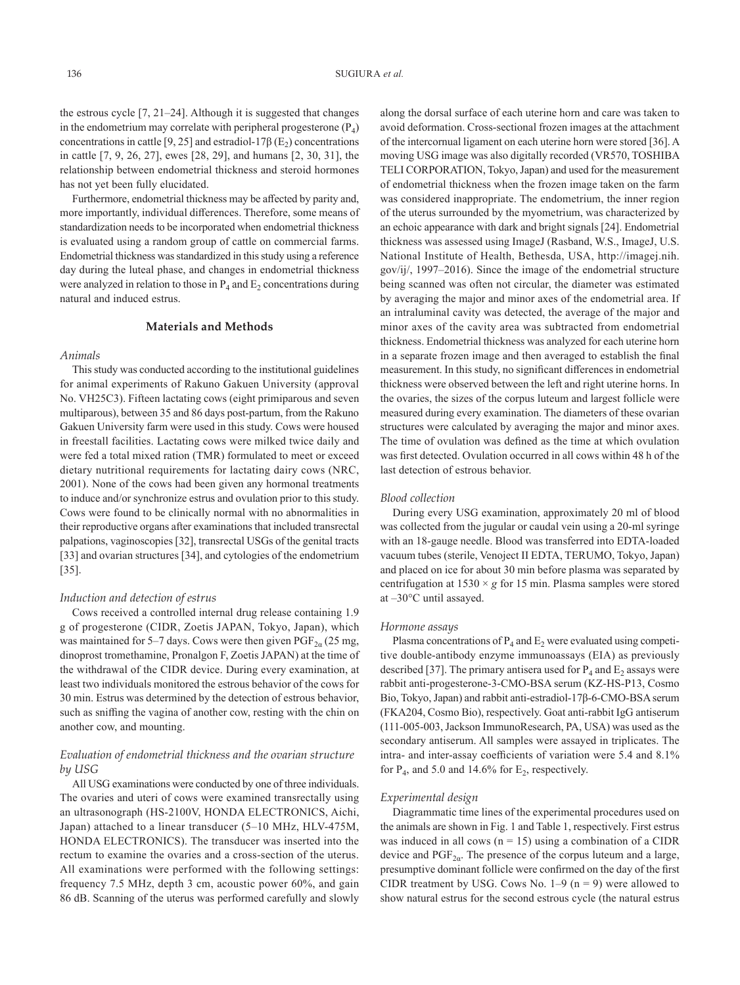the estrous cycle [\[7, 21–24](#page-7-5)]. Although it is suggested that changes in the endometrium may correlate with peripheral progesterone  $(P_4)$ concentrations in cattle [[9, 25](#page-7-7)] and estradiol-17 $\beta$  (E<sub>2</sub>) concentrations in cattle [\[7, 9, 26, 27](#page-7-5)], ewes [[28, 29](#page-7-13)], and humans [[2, 30, 31](#page-7-1)], the relationship between endometrial thickness and steroid hormones has not yet been fully elucidated.

Furthermore, endometrial thickness may be affected by parity and, more importantly, individual differences. Therefore, some means of standardization needs to be incorporated when endometrial thickness is evaluated using a random group of cattle on commercial farms. Endometrial thickness was standardized in this study using a reference day during the luteal phase, and changes in endometrial thickness were analyzed in relation to those in  $P_4$  and  $E_2$  concentrations during natural and induced estrus.

#### **Materials and Methods**

#### *Animals*

This study was conducted according to the institutional guidelines for animal experiments of Rakuno Gakuen University (approval No. VH25C3). Fifteen lactating cows (eight primiparous and seven multiparous), between 35 and 86 days post-partum, from the Rakuno Gakuen University farm were used in this study. Cows were housed in freestall facilities. Lactating cows were milked twice daily and were fed a total mixed ration (TMR) formulated to meet or exceed dietary nutritional requirements for lactating dairy cows (NRC, 2001). None of the cows had been given any hormonal treatments to induce and/or synchronize estrus and ovulation prior to this study. Cows were found to be clinically normal with no abnormalities in their reproductive organs after examinations that included transrectal palpations, vaginoscopies [\[32\]](#page-7-14), transrectal USGs of the genital tracts [\[33](#page-7-15)] and ovarian structures [[34\]](#page-8-0), and cytologies of the endometrium [\[35](#page-8-1)].

#### *Induction and detection of estrus*

Cows received a controlled internal drug release containing 1.9 g of progesterone (CIDR, Zoetis JAPAN, Tokyo, Japan), which was maintained for 5–7 days. Cows were then given  $\mathrm{PGF}_{2\alpha}(25 \text{ mg})$ , dinoprost tromethamine, Pronalgon F, Zoetis JAPAN) at the time of the withdrawal of the CIDR device. During every examination, at least two individuals monitored the estrous behavior of the cows for 30 min. Estrus was determined by the detection of estrous behavior, such as sniffing the vagina of another cow, resting with the chin on another cow, and mounting.

# *Evaluation of endometrial thickness and the ovarian structure by USG*

All USG examinations were conducted by one of three individuals. The ovaries and uteri of cows were examined transrectally using an ultrasonograph (HS-2100V, HONDA ELECTRONICS, Aichi, Japan) attached to a linear transducer (5–10 MHz, HLV-475M, HONDA ELECTRONICS). The transducer was inserted into the rectum to examine the ovaries and a cross-section of the uterus. All examinations were performed with the following settings: frequency 7.5 MHz, depth 3 cm, acoustic power 60%, and gain 86 dB. Scanning of the uterus was performed carefully and slowly along the dorsal surface of each uterine horn and care was taken to avoid deformation. Cross-sectional frozen images at the attachment of the intercornual ligament on each uterine horn were stored [[36\]](#page-8-2). A moving USG image was also digitally recorded (VR570, TOSHIBA TELI CORPORATION, Tokyo, Japan) and used for the measurement of endometrial thickness when the frozen image taken on the farm was considered inappropriate. The endometrium, the inner region of the uterus surrounded by the myometrium, was characterized by an echoic appearance with dark and bright signals [[24\]](#page-7-16). Endometrial thickness was assessed using ImageJ (Rasband, W.S., ImageJ, U.S. National Institute of Health, Bethesda, USA, http://imagej.nih. gov/ij/, 1997–2016). Since the image of the endometrial structure being scanned was often not circular, the diameter was estimated by averaging the major and minor axes of the endometrial area. If an intraluminal cavity was detected, the average of the major and minor axes of the cavity area was subtracted from endometrial thickness. Endometrial thickness was analyzed for each uterine horn in a separate frozen image and then averaged to establish the final measurement. In this study, no significant differences in endometrial thickness were observed between the left and right uterine horns. In the ovaries, the sizes of the corpus luteum and largest follicle were measured during every examination. The diameters of these ovarian structures were calculated by averaging the major and minor axes. The time of ovulation was defined as the time at which ovulation was first detected. Ovulation occurred in all cows within 48 h of the last detection of estrous behavior.

#### *Blood collection*

During every USG examination, approximately 20 ml of blood was collected from the jugular or caudal vein using a 20-ml syringe with an 18-gauge needle. Blood was transferred into EDTA-loaded vacuum tubes (sterile, Venoject II EDTA, TERUMO, Tokyo, Japan) and placed on ice for about 30 min before plasma was separated by centrifugation at  $1530 \times g$  for 15 min. Plasma samples were stored at –30°C until assayed.

#### *Hormone assays*

Plasma concentrations of  $P_4$  and  $E_2$  were evaluated using competitive double-antibody enzyme immunoassays (EIA) as previously described [[37\]](#page-8-3). The primary antisera used for  $P_4$  and  $E_2$  assays were rabbit anti-progesterone-3-CMO-BSA serum (KZ-HS-P13, Cosmo Bio, Tokyo, Japan) and rabbit anti-estradiol-17β-6-CMO-BSA serum (FKA204, Cosmo Bio), respectively. Goat anti-rabbit IgG antiserum (111-005-003, Jackson ImmunoResearch, PA, USA) was used as the secondary antiserum. All samples were assayed in triplicates. The intra- and inter-assay coefficients of variation were 5.4 and 8.1% for  $P_4$ , and 5.0 and 14.6% for  $E_2$ , respectively.

#### *Experimental design*

Diagrammatic time lines of the experimental procedures used on the animals are shown in Fig. 1 and Table 1, respectively. First estrus was induced in all cows ( $n = 15$ ) using a combination of a CIDR device and  $PGF_{2\alpha}$ . The presence of the corpus luteum and a large, presumptive dominant follicle were confirmed on the day of the first CIDR treatment by USG. Cows No.  $1-9$  (n = 9) were allowed to show natural estrus for the second estrous cycle (the natural estrus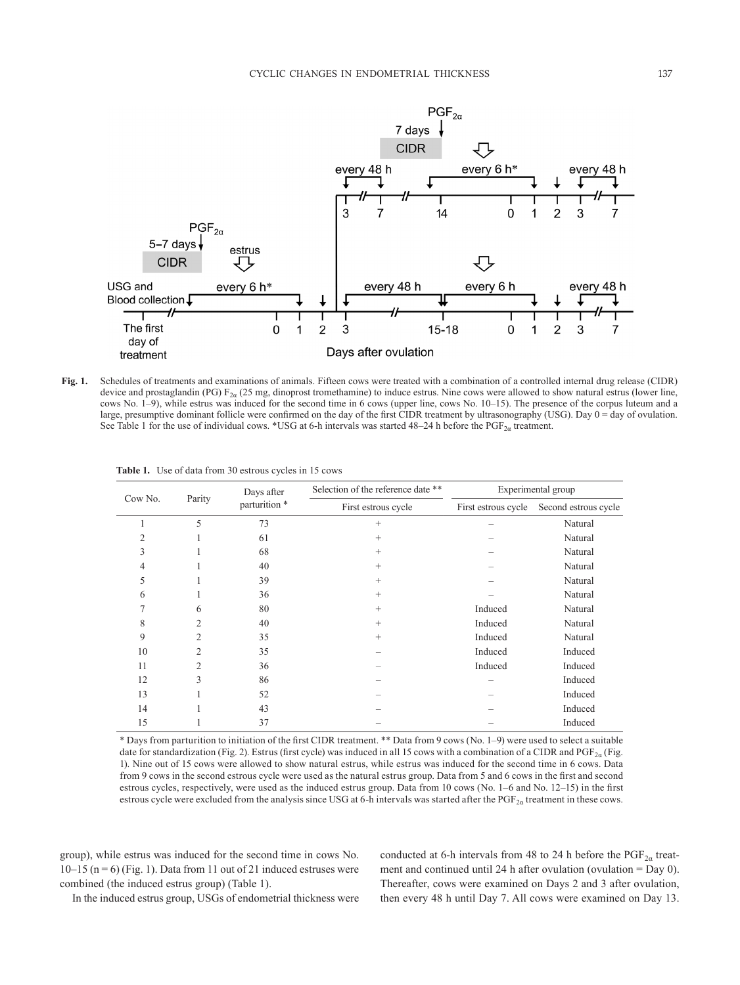

**Fig. 1.** Schedules of treatments and examinations of animals. Fifteen cows were treated with a combination of a controlled internal drug release (CIDR) device and prostaglandin (PG)  $F_{2\alpha}$  (25 mg, dinoprost tromethamine) to induce estrus. Nine cows were allowed to show natural estrus (lower line, cows No. 1–9), while estrus was induced for the second time in 6 cows (upper line, cows No. 10–15). The presence of the corpus luteum and a large, presumptive dominant follicle were confirmed on the day of the first CIDR treatment by ultrasonography (USG). Day 0 = day of ovulation. See Table 1 for the use of individual cows. \*USG at 6-h intervals was started 48–24 h before the PGF<sub>2 $a$ </sub> treatment.

| Cow No. | Parity         | Days after<br>parturition * | Selection of the reference date ** | Experimental group  |                      |  |
|---------|----------------|-----------------------------|------------------------------------|---------------------|----------------------|--|
|         |                |                             | First estrous cycle                | First estrous cycle | Second estrous cycle |  |
|         | 5              | 73                          | $^{+}$                             |                     | Natural              |  |
| 2       |                | 61                          | $^{+}$                             |                     | Natural              |  |
| 3       |                | 68                          | $^{+}$                             |                     | Natural              |  |
| 4       |                | 40                          | $^{+}$                             |                     | Natural              |  |
| 5       |                | 39                          | $^{+}$                             |                     | Natural              |  |
| 6       |                | 36                          | $^{+}$                             |                     | Natural              |  |
| 7       | 6              | 80                          | $^{+}$                             | Induced             | Natural              |  |
| 8       | 2              | 40                          | $^{+}$                             | Induced             | Natural              |  |
| 9       | $\overline{c}$ | 35                          | $^{+}$                             | Induced             | Natural              |  |
| 10      | $\overline{2}$ | 35                          |                                    | Induced             | Induced              |  |
| 11      | $\overline{2}$ | 36                          |                                    | Induced             | Induced              |  |
| 12      | 3              | 86                          |                                    |                     | Induced              |  |
| 13      |                | 52                          |                                    |                     | Induced              |  |
| 14      |                | 43                          |                                    | Induced             |                      |  |
| 15      |                | 37                          |                                    | Induced             |                      |  |

**Table 1.** Use of data from 30 estrous cycles in 15 cows

\* Days from parturition to initiation of the first CIDR treatment. \*\* Data from 9 cows (No. 1–9) were used to select a suitable date for standardization (Fig. 2). Estrus (first cycle) was induced in all 15 cows with a combination of a CIDR and PGF<sub>2a</sub> (Fig. 1). Nine out of 15 cows were allowed to show natural estrus, while estrus was induced for the second time in 6 cows. Data from 9 cows in the second estrous cycle were used as the natural estrus group. Data from 5 and 6 cows in the first and second estrous cycles, respectively, were used as the induced estrus group. Data from 10 cows (No. 1–6 and No. 12–15) in the first estrous cycle were excluded from the analysis since USG at 6-h intervals was started after the  $PGF_{2a}$  treatment in these cows.

group), while estrus was induced for the second time in cows No.  $10-15$  (n = 6) (Fig. 1). Data from 11 out of 21 induced estruses were combined (the induced estrus group) (Table 1).

conducted at 6-h intervals from 48 to 24 h before the  $\text{PGF}_{2\alpha}$  treatment and continued until 24 h after ovulation (ovulation = Day 0). Thereafter, cows were examined on Days 2 and 3 after ovulation, then every 48 h until Day 7. All cows were examined on Day 13.

In the induced estrus group, USGs of endometrial thickness were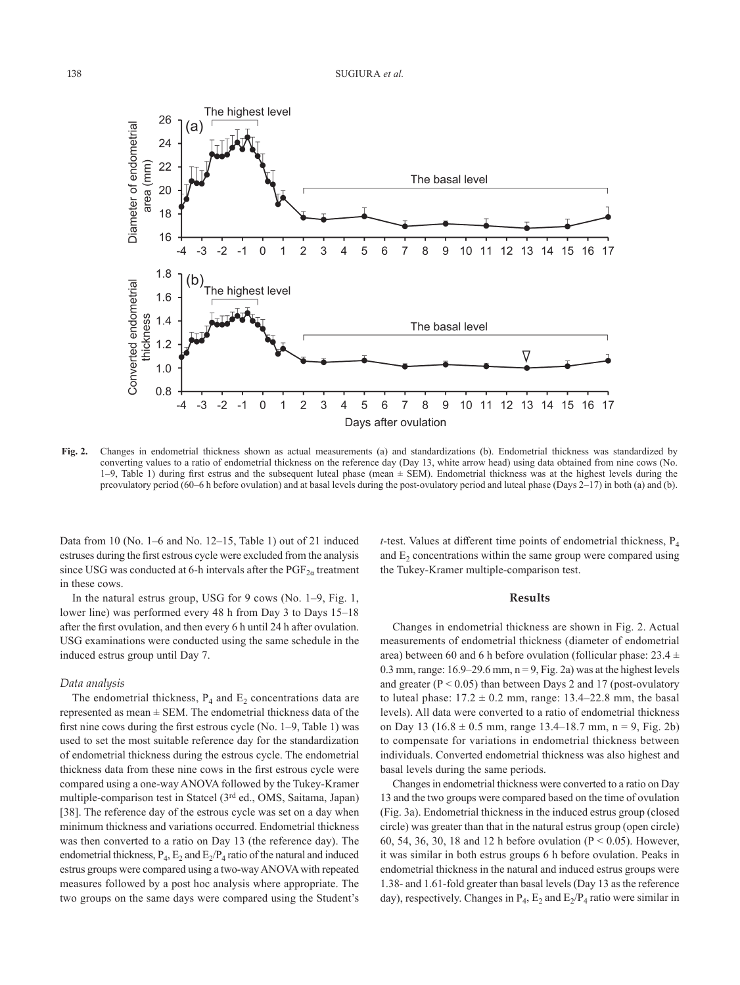

**Fig. 2.** Changes in endometrial thickness shown as actual measurements (a) and standardizations (b). Endometrial thickness was standardized by converting values to a ratio of endometrial thickness on the reference day (Day 13, white arrow head) using data obtained from nine cows (No. 1–9, Table 1) during first estrus and the subsequent luteal phase (mean ± SEM). Endometrial thickness was at the highest levels during the preovulatory period (60–6 h before ovulation) and at basal levels during the post-ovulatory period and luteal phase (Days 2–17) in both (a) and (b).

Data from 10 (No. 1–6 and No. 12–15, Table 1) out of 21 induced estruses during the first estrous cycle were excluded from the analysis since USG was conducted at 6-h intervals after the  $PGF_{2\alpha}$  treatment in these cows.

In the natural estrus group, USG for 9 cows (No. 1–9, Fig. 1, lower line) was performed every 48 h from Day 3 to Days 15–18 after the first ovulation, and then every 6 h until 24 h after ovulation. USG examinations were conducted using the same schedule in the induced estrus group until Day 7.

## *Data analysis*

The endometrial thickness,  $P_4$  and  $E_2$  concentrations data are represented as mean  $\pm$  SEM. The endometrial thickness data of the first nine cows during the first estrous cycle (No. 1–9, Table 1) was used to set the most suitable reference day for the standardization of endometrial thickness during the estrous cycle. The endometrial thickness data from these nine cows in the first estrous cycle were compared using a one-way ANOVA followed by the Tukey-Kramer multiple-comparison test in Statcel (3rd ed., OMS, Saitama, Japan) [\[38](#page-8-4)]. The reference day of the estrous cycle was set on a day when minimum thickness and variations occurred. Endometrial thickness was then converted to a ratio on Day 13 (the reference day). The endometrial thickness,  $P_4$ ,  $E_2$  and  $E_2/P_4$  ratio of the natural and induced estrus groups were compared using a two-way ANOVA with repeated measures followed by a post hoc analysis where appropriate. The two groups on the same days were compared using the Student's *t*-test. Values at different time points of endometrial thickness,  $P_4$ and  $E<sub>2</sub>$  concentrations within the same group were compared using the Tukey-Kramer multiple-comparison test.

#### **Results**

Changes in endometrial thickness are shown in Fig. 2. Actual measurements of endometrial thickness (diameter of endometrial area) between 60 and 6 h before ovulation (follicular phase:  $23.4 \pm$ 0.3 mm, range:  $16.9-29.6$  mm,  $n = 9$ , Fig. 2a) was at the highest levels and greater  $(P < 0.05)$  than between Days 2 and 17 (post-ovulatory to luteal phase:  $17.2 \pm 0.2$  mm, range:  $13.4-22.8$  mm, the basal levels). All data were converted to a ratio of endometrial thickness on Day 13 (16.8  $\pm$  0.5 mm, range 13.4–18.7 mm, n = 9, Fig. 2b) to compensate for variations in endometrial thickness between individuals. Converted endometrial thickness was also highest and basal levels during the same periods.

Changes in endometrial thickness were converted to a ratio on Day 13 and the two groups were compared based on the time of ovulation (Fig. 3a). Endometrial thickness in the induced estrus group (closed circle) was greater than that in the natural estrus group (open circle) 60, 54, 36, 30, 18 and 12 h before ovulation ( $P < 0.05$ ). However, it was similar in both estrus groups 6 h before ovulation. Peaks in endometrial thickness in the natural and induced estrus groups were 1.38- and 1.61-fold greater than basal levels (Day 13 as the reference day), respectively. Changes in  $P_4$ ,  $E_2$  and  $E_2/P_4$  ratio were similar in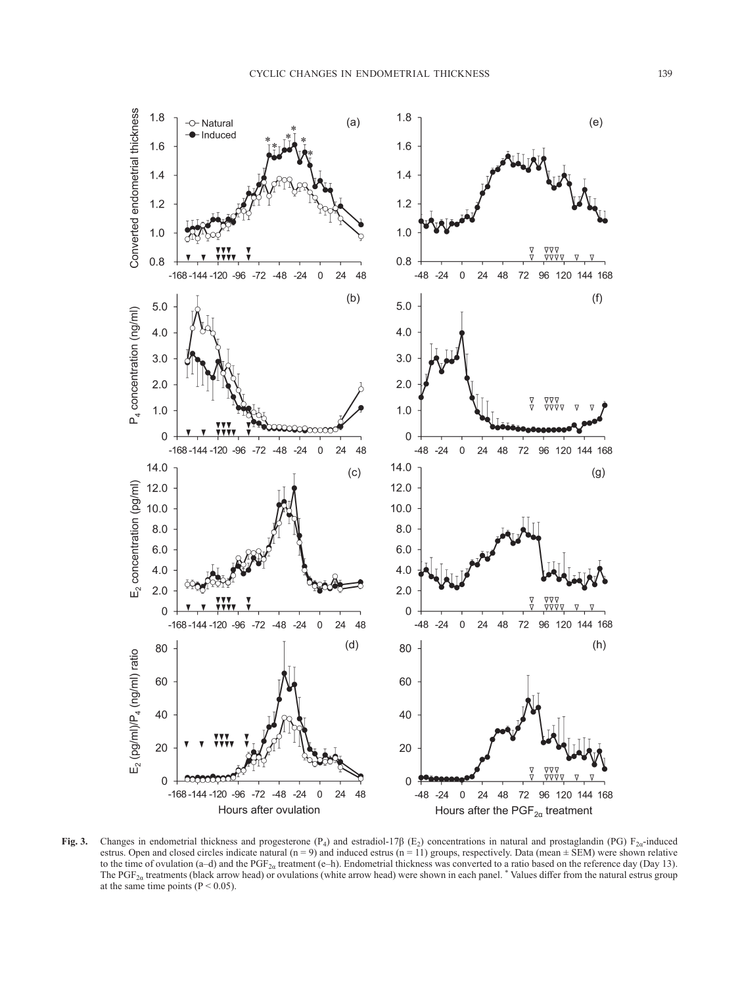

**Fig. 3.** Changes in endometrial thickness and progesterone  $(P_4)$  and estradiol-17 $\beta$  (E<sub>2</sub>) concentrations in natural and prostaglandin (PG) F<sub>2a</sub>-induced estrus. Open and closed circles indicate natural (n = 9) and induced estrus (n = 11) groups, respectively. Data (mean  $\pm$  SEM) were shown relative to the time of ovulation (a–d) and the PGF<sub>2a</sub> treatment (e–h). Endometrial thickness was converted to a ratio based on the reference day (Day 13). The PGF<sub>2a</sub> treatments (black arrow head) or ovulations (white arrow head) were shown in each panel. \* Values differ from the natural estrus group at the same time points  $(P < 0.05)$ .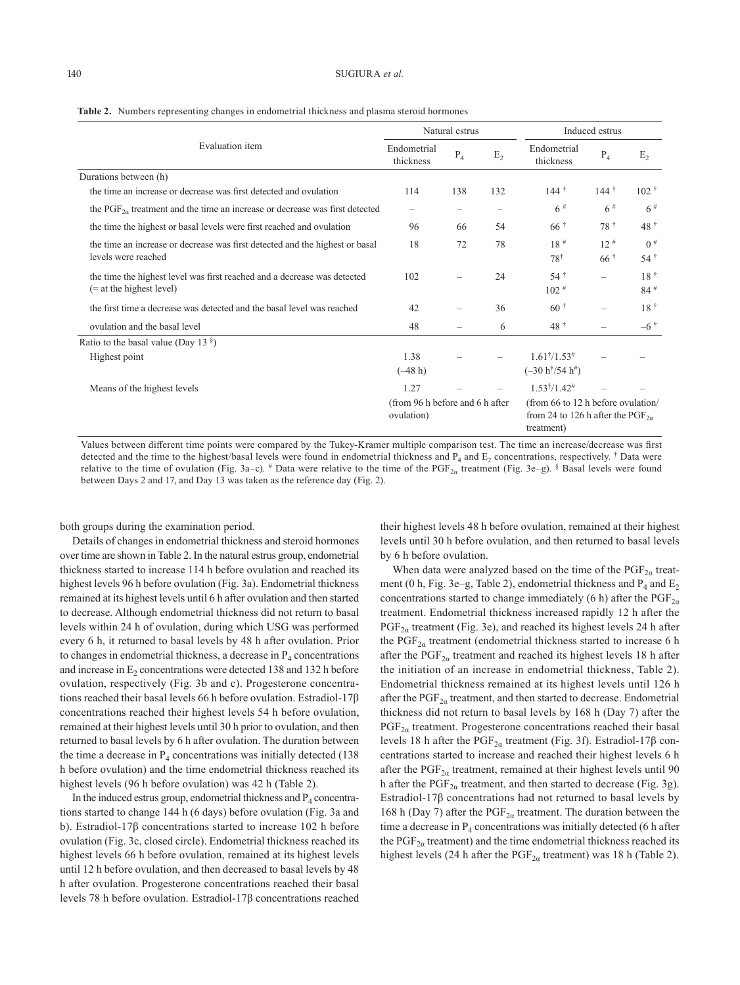|                                                                                                        | Natural estrus                                |       |                | Induced estrus                                                                                   |                                  |                                      |
|--------------------------------------------------------------------------------------------------------|-----------------------------------------------|-------|----------------|--------------------------------------------------------------------------------------------------|----------------------------------|--------------------------------------|
| Evaluation item                                                                                        | Endometrial<br>thickness                      | $P_4$ | E <sub>2</sub> | Endometrial<br>thickness                                                                         | $P_4$                            | E <sub>2</sub>                       |
| Durations between (h)                                                                                  |                                               |       |                |                                                                                                  |                                  |                                      |
| the time an increase or decrease was first detected and ovulation                                      | 114                                           | 138   | 132            | $144$ †                                                                                          | $144$ †                          | $102 \text{ }^{\dagger}$             |
| the PGF <sub>2<i>a</i></sub> treatment and the time an increase or decrease was first detected         |                                               |       |                | 6#                                                                                               | 6#                               | 6#                                   |
| the time the highest or basal levels were first reached and ovulation                                  | 96                                            | 66    | 54             | $66\degree$                                                                                      | 78†                              | $48 \t{t}$                           |
| the time an increase or decrease was first detected and the highest or basal<br>levels were reached    | 18                                            | 72    | 78             | $18$ <sup>#</sup><br>$78^{\dagger}$                                                              | $12$ <sup>#</sup><br>$66\degree$ | $0^{\#}$<br>$54$ †                   |
| the time the highest level was first reached and a decrease was detected<br>$(=$ at the highest level) | 102                                           |       | 24             | $54$ †<br>$102$ #                                                                                | $\overline{\phantom{0}}$         | 18 <sup>†</sup><br>$84$ <sup>#</sup> |
| the first time a decrease was detected and the basal level was reached                                 | 42                                            |       | 36             | $60^{\text{ }†}$                                                                                 | $\overline{\phantom{0}}$         | $18^{\dagger}$                       |
| ovulation and the basal level                                                                          | 48                                            |       | 6              | $48 \t{t}$                                                                                       |                                  | $-6$ <sup>†</sup>                    |
| Ratio to the basal value (Day 13 $\frac{8}{3}$ )                                                       |                                               |       |                |                                                                                                  |                                  |                                      |
| Highest point                                                                                          | 1.38<br>$(-48 h)$                             |       |                | $1.61^{\dagger}/1.53^{\#}$<br>$(-30 \; h^{\dagger}/54 \; h^{\#})$                                |                                  |                                      |
| Means of the highest levels                                                                            | 1.27                                          |       |                | $1.53^{\dagger}/1.42^{\#}$                                                                       |                                  |                                      |
|                                                                                                        | (from 96 h before and 6 h after<br>ovulation) |       |                | (from 66 to 12 h before ovulation/<br>from 24 to 126 h after the PGF <sub>2a</sub><br>treatment) |                                  |                                      |

|  |  |  | Table 2. Numbers representing changes in endometrial thickness and plasma steroid hormones |  |
|--|--|--|--------------------------------------------------------------------------------------------|--|
|--|--|--|--------------------------------------------------------------------------------------------|--|

Values between different time points were compared by the Tukey-Kramer multiple comparison test. The time an increase/decrease was first detected and the time to the highest/basal levels were found in endometrial thickness and  $P_4$  and  $E_2$  concentrations, respectively. † Data were relative to the time of ovulation (Fig. 3a–c). # Data were relative to the time of the PGF<sub>2a</sub> treatment (Fig. 3e–g). § Basal levels were found between Days 2 and 17, and Day 13 was taken as the reference day (Fig. 2).

both groups during the examination period.

Details of changes in endometrial thickness and steroid hormones over time are shown in Table 2. In the natural estrus group, endometrial thickness started to increase 114 h before ovulation and reached its highest levels 96 h before ovulation (Fig. 3a). Endometrial thickness remained at its highest levels until 6 h after ovulation and then started to decrease. Although endometrial thickness did not return to basal levels within 24 h of ovulation, during which USG was performed every 6 h, it returned to basal levels by 48 h after ovulation. Prior to changes in endometrial thickness, a decrease in  $P_4$  concentrations and increase in  $E_2$  concentrations were detected 138 and 132 h before ovulation, respectively (Fig. 3b and c). Progesterone concentrations reached their basal levels 66 h before ovulation. Estradiol-17β concentrations reached their highest levels 54 h before ovulation, remained at their highest levels until 30 h prior to ovulation, and then returned to basal levels by 6 h after ovulation. The duration between the time a decrease in  $P_4$  concentrations was initially detected (138) h before ovulation) and the time endometrial thickness reached its highest levels (96 h before ovulation) was 42 h (Table 2).

In the induced estrus group, endometrial thickness and  $P_4$  concentrations started to change 144 h (6 days) before ovulation (Fig. 3a and b). Estradiol-17β concentrations started to increase 102 h before ovulation (Fig. 3c, closed circle). Endometrial thickness reached its highest levels 66 h before ovulation, remained at its highest levels until 12 h before ovulation, and then decreased to basal levels by 48 h after ovulation. Progesterone concentrations reached their basal levels 78 h before ovulation. Estradiol-17β concentrations reached

their highest levels 48 h before ovulation, remained at their highest levels until 30 h before ovulation, and then returned to basal levels by 6 h before ovulation.

When data were analyzed based on the time of the  $\mathrm{PGF}_{2\alpha}$  treatment (0 h, Fig. 3e–g, Table 2), endometrial thickness and  $P_4$  and  $E_2$ concentrations started to change immediately (6 h) after the  $PGF_{2\alpha}$ treatment. Endometrial thickness increased rapidly 12 h after the  $PGF_{2a}$  treatment (Fig. 3e), and reached its highest levels 24 h after the PGF<sub>2 $\alpha$ </sub> treatment (endometrial thickness started to increase 6 h after the  $PGF_{2\alpha}$  treatment and reached its highest levels 18 h after the initiation of an increase in endometrial thickness, Table 2). Endometrial thickness remained at its highest levels until 126 h after the  $\text{PGF}_{2\alpha}$  treatment, and then started to decrease. Endometrial thickness did not return to basal levels by 168 h (Day 7) after the  $PGF_{2\alpha}$  treatment. Progesterone concentrations reached their basal levels 18 h after the PGF<sub>2α</sub> treatment (Fig. 3f). Estradiol-17β concentrations started to increase and reached their highest levels 6 h after the  $PGF_{2\alpha}$  treatment, remained at their highest levels until 90 h after the  $\text{PGF}_{2\alpha}$  treatment, and then started to decrease (Fig. 3g). Estradiol-17β concentrations had not returned to basal levels by 168 h (Day 7) after the  $\text{PGF}_{2\alpha}$  treatment. The duration between the time a decrease in  $P_4$  concentrations was initially detected (6 h after the  $\text{PGF}_{2\alpha}$  treatment) and the time endometrial thickness reached its highest levels (24 h after the  $\text{PGF}_{2\alpha}$  treatment) was 18 h (Table 2).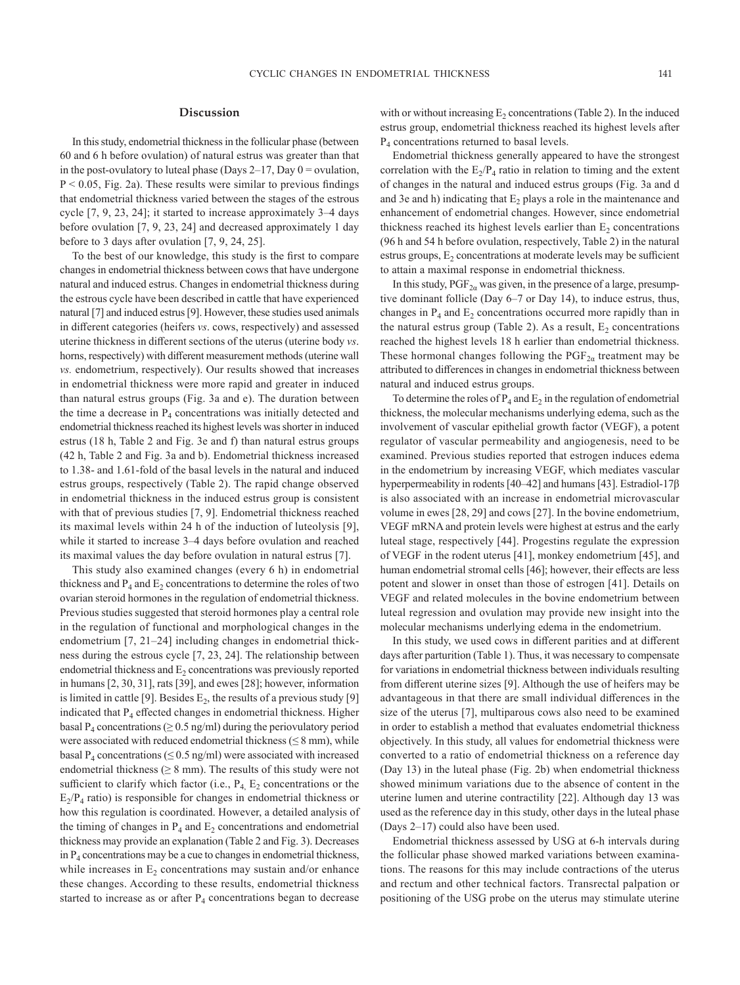## **Discussion**

In this study, endometrial thickness in the follicular phase (between 60 and 6 h before ovulation) of natural estrus was greater than that in the post-ovulatory to luteal phase (Days  $2-17$ , Day  $0 =$  ovulation,  $P < 0.05$ , Fig. 2a). These results were similar to previous findings that endometrial thickness varied between the stages of the estrous cycle [\[7, 9, 23, 24](#page-7-5)]; it started to increase approximately 3–4 days before ovulation [[7, 9, 23, 24](#page-7-5)] and decreased approximately 1 day before to 3 days after ovulation [\[7, 9, 24, 25](#page-7-5)].

To the best of our knowledge, this study is the first to compare changes in endometrial thickness between cows that have undergone natural and induced estrus. Changes in endometrial thickness during the estrous cycle have been described in cattle that have experienced natural [[7\]](#page-7-5) and induced estrus [\[9\]](#page-7-7). However, these studies used animals in different categories (heifers *vs*. cows, respectively) and assessed uterine thickness in different sections of the uterus (uterine body *vs*. horns, respectively) with different measurement methods (uterine wall *vs.* endometrium, respectively). Our results showed that increases in endometrial thickness were more rapid and greater in induced than natural estrus groups (Fig. 3a and e). The duration between the time a decrease in  $P_4$  concentrations was initially detected and endometrial thickness reached its highest levels was shorter in induced estrus (18 h, Table 2 and Fig. 3e and f) than natural estrus groups (42 h, Table 2 and Fig. 3a and b). Endometrial thickness increased to 1.38- and 1.61-fold of the basal levels in the natural and induced estrus groups, respectively (Table 2). The rapid change observed in endometrial thickness in the induced estrus group is consistent with that of previous studies [[7, 9](#page-7-5)]. Endometrial thickness reached its maximal levels within 24 h of the induction of luteolysis [\[9\]](#page-7-7), while it started to increase 3–4 days before ovulation and reached its maximal values the day before ovulation in natural estrus [[7](#page-7-5)].

This study also examined changes (every 6 h) in endometrial thickness and  $P_4$  and  $E_2$  concentrations to determine the roles of two ovarian steroid hormones in the regulation of endometrial thickness. Previous studies suggested that steroid hormones play a central role in the regulation of functional and morphological changes in the endometrium [[7, 21–24\]](#page-7-5) including changes in endometrial thickness during the estrous cycle [\[7, 23, 24](#page-7-5)]. The relationship between endometrial thickness and  $E_2$  concentrations was previously reported in humans [\[2, 30, 31\]](#page-7-1), rats [\[39\]](#page-8-5), and ewes [\[28\]](#page-7-13); however, information is limited in cattle [[9](#page-7-7)]. Besides  $E_2$ , the results of a previous study [9] indicated that  $P_4$  effected changes in endometrial thickness. Higher basal  $P_4$  concentrations ( $\geq 0.5$  ng/ml) during the periovulatory period were associated with reduced endometrial thickness ( $\leq 8$  mm), while basal  $P_4$  concentrations ( $\leq 0.5$  ng/ml) were associated with increased endometrial thickness ( $\geq 8$  mm). The results of this study were not sufficient to clarify which factor (i.e.,  $P_4$ ,  $E_2$  concentrations or the  $E_2/P_4$  ratio) is responsible for changes in endometrial thickness or how this regulation is coordinated. However, a detailed analysis of the timing of changes in  $P_4$  and  $E_2$  concentrations and endometrial thickness may provide an explanation (Table 2 and Fig. 3). Decreases in  $P_4$  concentrations may be a cue to changes in endometrial thickness, while increases in  $E<sub>2</sub>$  concentrations may sustain and/or enhance these changes. According to these results, endometrial thickness started to increase as or after  $P_4$  concentrations began to decrease with or without increasing  $E_2$  concentrations (Table 2). In the induced estrus group, endometrial thickness reached its highest levels after P<sub>4</sub> concentrations returned to basal levels.

Endometrial thickness generally appeared to have the strongest correlation with the  $E_2/P_4$  ratio in relation to timing and the extent of changes in the natural and induced estrus groups (Fig. 3a and d and 3e and h) indicating that  $E_2$  plays a role in the maintenance and enhancement of endometrial changes. However, since endometrial thickness reached its highest levels earlier than  $E<sub>2</sub>$  concentrations (96 h and 54 h before ovulation, respectively, Table 2) in the natural estrus groups,  $E<sub>2</sub>$  concentrations at moderate levels may be sufficient to attain a maximal response in endometrial thickness.

In this study,  $PGF_{2a}$  was given, in the presence of a large, presumptive dominant follicle (Day 6–7 or Day 14), to induce estrus, thus, changes in  $P_4$  and  $E_2$  concentrations occurred more rapidly than in the natural estrus group (Table 2). As a result,  $E_2$  concentrations reached the highest levels 18 h earlier than endometrial thickness. These hormonal changes following the  $PGF_{2\alpha}$  treatment may be attributed to differences in changes in endometrial thickness between natural and induced estrus groups.

To determine the roles of  $P_4$  and  $E_2$  in the regulation of endometrial thickness, the molecular mechanisms underlying edema, such as the involvement of vascular epithelial growth factor (VEGF), a potent regulator of vascular permeability and angiogenesis, need to be examined. Previous studies reported that estrogen induces edema in the endometrium by increasing VEGF, which mediates vascular hyperpermeability in rodents [[40–42\]](#page-8-6) and humans [[43\]](#page-8-7). Estradiol-17β is also associated with an increase in endometrial microvascular volume in ewes [[28, 29\]](#page-7-13) and cows [[27\]](#page-7-17). In the bovine endometrium, VEGF mRNA and protein levels were highest at estrus and the early luteal stage, respectively [\[44\]](#page-8-8). Progestins regulate the expression of VEGF in the rodent uterus [\[41](#page-8-9)], monkey endometrium [[45\]](#page-8-10), and human endometrial stromal cells [[46\]](#page-8-11); however, their effects are less potent and slower in onset than those of estrogen [[41\]](#page-8-9). Details on VEGF and related molecules in the bovine endometrium between luteal regression and ovulation may provide new insight into the molecular mechanisms underlying edema in the endometrium.

In this study, we used cows in different parities and at different days after parturition (Table 1). Thus, it was necessary to compensate for variations in endometrial thickness between individuals resulting from different uterine sizes [[9](#page-7-7)]. Although the use of heifers may be advantageous in that there are small individual differences in the size of the uterus [[7](#page-7-5)], multiparous cows also need to be examined in order to establish a method that evaluates endometrial thickness objectively. In this study, all values for endometrial thickness were converted to a ratio of endometrial thickness on a reference day (Day 13) in the luteal phase (Fig. 2b) when endometrial thickness showed minimum variations due to the absence of content in the uterine lumen and uterine contractility [\[22](#page-7-18)]. Although day 13 was used as the reference day in this study, other days in the luteal phase (Days 2–17) could also have been used.

Endometrial thickness assessed by USG at 6-h intervals during the follicular phase showed marked variations between examinations. The reasons for this may include contractions of the uterus and rectum and other technical factors. Transrectal palpation or positioning of the USG probe on the uterus may stimulate uterine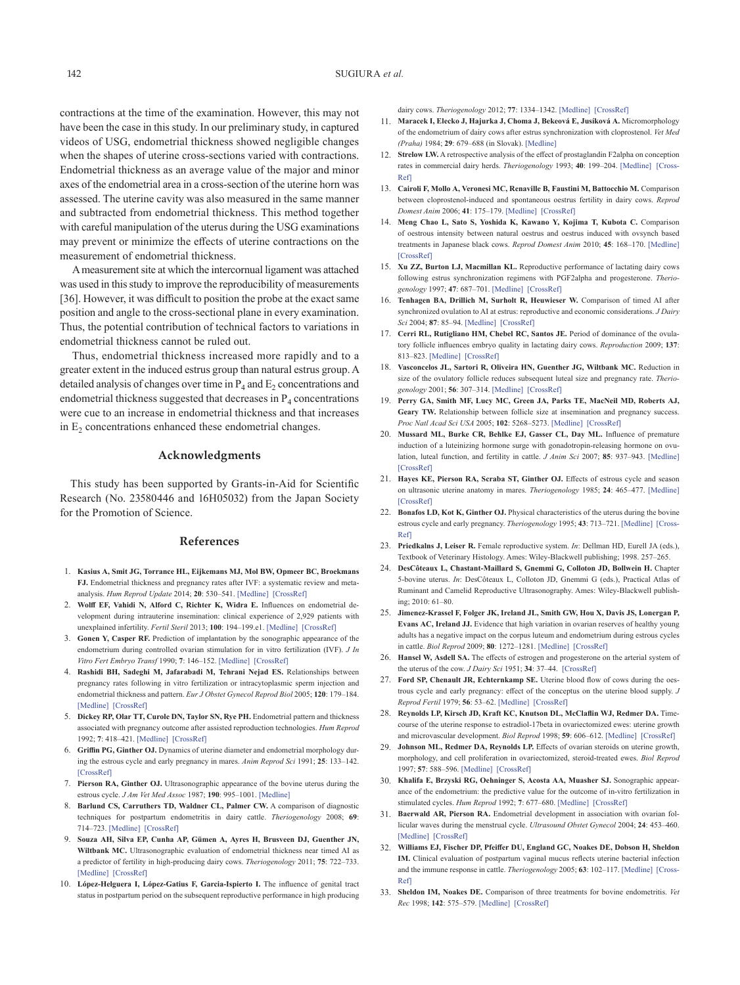contractions at the time of the examination. However, this may not have been the case in this study. In our preliminary study, in captured videos of USG, endometrial thickness showed negligible changes when the shapes of uterine cross-sections varied with contractions. Endometrial thickness as an average value of the major and minor axes of the endometrial area in a cross-section of the uterine horn was assessed. The uterine cavity was also measured in the same manner and subtracted from endometrial thickness. This method together with careful manipulation of the uterus during the USG examinations may prevent or minimize the effects of uterine contractions on the measurement of endometrial thickness.

A measurement site at which the intercornual ligament was attached was used in this study to improve the reproducibility of measurements [\[36](#page-8-2)]. However, it was difficult to position the probe at the exact same position and angle to the cross-sectional plane in every examination. Thus, the potential contribution of technical factors to variations in endometrial thickness cannot be ruled out.

Thus, endometrial thickness increased more rapidly and to a greater extent in the induced estrus group than natural estrus group. A detailed analysis of changes over time in  $P_4$  and  $E_2$  concentrations and endometrial thickness suggested that decreases in  $P_4$  concentrations were cue to an increase in endometrial thickness and that increases in  $E<sub>2</sub>$  concentrations enhanced these endometrial changes.

# **Acknowledgments**

This study has been supported by Grants-in-Aid for Scientific Research (No. 23580446 and 16H05032) from the Japan Society for the Promotion of Science.

#### **References**

- <span id="page-7-0"></span>1. **Kasius A, Smit JG, Torrance HL, Eijkemans MJ, Mol BW, Opmeer BC, Broekmans FJ.** Endometrial thickness and pregnancy rates after IVF: a systematic review and metaanalysis. *Hum Reprod Update* 2014; **20**: 530–541. [\[Medline\]](http://www.ncbi.nlm.nih.gov/pubmed/24664156?dopt=Abstract) [\[CrossRef\]](http://dx.doi.org/10.1093/humupd/dmu011)
- <span id="page-7-1"></span>2. **Wolff EF, Vahidi N, Alford C, Richter K, Widra E.** Influences on endometrial development during intrauterine insemination: clinical experience of 2,929 patients with unexplained infertility. *Fertil Steril* 2013; **100**: 194–199.e1. [\[Medline\]](http://www.ncbi.nlm.nih.gov/pubmed/23579008?dopt=Abstract) [\[CrossRef\]](http://dx.doi.org/10.1016/j.fertnstert.2013.03.023)
- <span id="page-7-2"></span>3. **Gonen Y, Casper RF.** Prediction of implantation by the sonographic appearance of the endometrium during controlled ovarian stimulation for in vitro fertilization (IVF). *J In Vitro Fert Embryo Transf* 1990; **7**: 146–152. [\[Medline\]](http://www.ncbi.nlm.nih.gov/pubmed/2199588?dopt=Abstract) [\[CrossRef\]](http://dx.doi.org/10.1007/BF01135678)
- <span id="page-7-3"></span>4. **Rashidi BH, Sadeghi M, Jafarabadi M, Tehrani Nejad ES.** Relationships between pregnancy rates following in vitro fertilization or intracytoplasmic sperm injection and endometrial thickness and pattern. *Eur J Obstet Gynecol Reprod Biol* 2005; **120**: 179–184. [\[Medline\]](http://www.ncbi.nlm.nih.gov/pubmed/15925048?dopt=Abstract) [\[CrossRef\]](http://dx.doi.org/10.1016/j.ejogrb.2004.08.016)
- 5. **Dickey RP, Olar TT, Curole DN, Taylor SN, Rye PH.** Endometrial pattern and thickness associated with pregnancy outcome after assisted reproduction technologies. *Hum Reprod* 1992; **7**: 418–421. [\[Medline\]](http://www.ncbi.nlm.nih.gov/pubmed/1587952?dopt=Abstract) [\[CrossRef\]](http://dx.doi.org/10.1093/oxfordjournals.humrep.a137661)
- <span id="page-7-4"></span>6. **Griffin PG, Ginther OJ.** Dynamics of uterine diameter and endometrial morphology during the estrous cycle and early pregnancy in mares. *Anim Reprod Sci* 1991; **25**: 133–142. [\[CrossRef\]](http://dx.doi.org/10.1016/0378-4320(91)90038-2)
- <span id="page-7-5"></span>7. **Pierson RA, Ginther OJ.** Ultrasonographic appearance of the bovine uterus during the estrous cycle. *J Am Vet Med Assoc* 1987; **190**: 995–1001. [\[Medline\]](http://www.ncbi.nlm.nih.gov/pubmed/3570959?dopt=Abstract)
- <span id="page-7-6"></span>8. **Barlund CS, Carruthers TD, Waldner CL, Palmer CW.** A comparison of diagnostic techniques for postpartum endometritis in dairy cattle. *Theriogenology* 2008; **69**: 714–723. [\[Medline\]](http://www.ncbi.nlm.nih.gov/pubmed/18242670?dopt=Abstract) [\[CrossRef\]](http://dx.doi.org/10.1016/j.theriogenology.2007.12.005)
- <span id="page-7-7"></span>9. **Souza AH, Silva EP, Cunha AP, Gümen A, Ayres H, Brusveen DJ, Guenther JN, Wiltbank MC.** Ultrasonographic evaluation of endometrial thickness near timed AI as a predictor of fertility in high-producing dairy cows. *Theriogenology* 2011; **75**: 722–733. [\[Medline\]](http://www.ncbi.nlm.nih.gov/pubmed/21196031?dopt=Abstract) [\[CrossRef\]](http://dx.doi.org/10.1016/j.theriogenology.2010.10.013)
- 10. **López-Helguera I, López-Gatius F, Garcia-Ispierto I.** The influence of genital tract status in postpartum period on the subsequent reproductive performance in high producing

dairy cows. *Theriogenology* 2012; 77: 1334-1342. [\[Medline\]](http://www.ncbi.nlm.nih.gov/pubmed/22225680?dopt=Abstract) [\[CrossRef\]](http://dx.doi.org/10.1016/j.theriogenology.2011.10.038)

- <span id="page-7-8"></span>11. **Maracek I, Elecko J, Hajurka J, Choma J, Bekeová E, Jusíková A.** Micromorphology of the endometrium of dairy cows after estrus synchronization with cloprostenol. *Vet Med (Praha)* 1984; **29**: 679–688 (in Slovak). [\[Medline\]](http://www.ncbi.nlm.nih.gov/pubmed/6441333?dopt=Abstract)
- <span id="page-7-9"></span>12. **Strelow LW.** A retrospective analysis of the effect of prostaglandin F2alpha on conception rates in commercial dairy herds. *Theriogenology* 1993; **40**: 199–204. [\[Medline\]](http://www.ncbi.nlm.nih.gov/pubmed/16727306?dopt=Abstract) [\[Cross](http://dx.doi.org/10.1016/0093-691X(93)90353-7)-[Ref\]](http://dx.doi.org/10.1016/0093-691X(93)90353-7)
- 13. **Cairoli F, Mollo A, Veronesi MC, Renaville B, Faustini M, Battocchio M.** Comparison between cloprostenol-induced and spontaneous oestrus fertility in dairy cows. *Reprod Domest Anim* 2006; **41**: 175–179. [\[Medline\]](http://www.ncbi.nlm.nih.gov/pubmed/16519725?dopt=Abstract) [\[CrossRef\]](http://dx.doi.org/10.1111/j.1439-0531.2006.00666.x)
- 14. **Meng Chao L, Sato S, Yoshida K, Kawano Y, Kojima T, Kubota C.** Comparison of oestrous intensity between natural oestrus and oestrus induced with ovsynch based treatments in Japanese black cows. *Reprod Domest Anim* 2010; **45**: 168–170. [\[Medline\]](http://www.ncbi.nlm.nih.gov/pubmed/19032430?dopt=Abstract) [\[CrossRef\]](http://dx.doi.org/10.1111/j.1439-0531.2008.01286.x)
- <span id="page-7-10"></span>15. **Xu ZZ, Burton LJ, Macmillan KL.** Reproductive performance of lactating dairy cows following estrus synchronization regimens with PGF2alpha and progesterone. *Theriogenology* 1997; **47**: 687–701. [\[Medline\]](http://www.ncbi.nlm.nih.gov/pubmed/16728021?dopt=Abstract) [\[CrossRef\]](http://dx.doi.org/10.1016/S0093-691X(97)00027-7)
- 16. **Tenhagen BA, Drillich M, Surholt R, Heuwieser W.** Comparison of timed AI after synchronized ovulation to AI at estrus: reproductive and economic considerations. *J Dairy Sci* 2004; **87**: 85–94. [\[Medline\]](http://www.ncbi.nlm.nih.gov/pubmed/14765814?dopt=Abstract) [\[CrossRef\]](http://dx.doi.org/10.3168/jds.S0022-0302(04)73145-8)
- <span id="page-7-11"></span>17. **Cerri RL, Rutigliano HM, Chebel RC, Santos JE.** Period of dominance of the ovulatory follicle influences embryo quality in lactating dairy cows. *Reproduction* 2009; **137**: 813–823. [\[Medline\]](http://www.ncbi.nlm.nih.gov/pubmed/19204087?dopt=Abstract) [\[CrossRef\]](http://dx.doi.org/10.1530/REP-08-0242)
- <span id="page-7-12"></span>18. **Vasconcelos JL, Sartori R, Oliveira HN, Guenther JG, Wiltbank MC.** Reduction in size of the ovulatory follicle reduces subsequent luteal size and pregnancy rate. *Theriogenology* 2001; **56**: 307–314. [\[Medline\]](http://www.ncbi.nlm.nih.gov/pubmed/11480622?dopt=Abstract) [\[CrossRef\]](http://dx.doi.org/10.1016/S0093-691X(01)00565-9)
- 19. **Perry GA, Smith MF, Lucy MC, Green JA, Parks TE, MacNeil MD, Roberts AJ, Geary TW.** Relationship between follicle size at insemination and pregnancy success. *Proc Natl Acad Sci USA* 2005; **102**: 5268–5273. [\[Medline\]](http://www.ncbi.nlm.nih.gov/pubmed/15795381?dopt=Abstract) [\[CrossRef\]](http://dx.doi.org/10.1073/pnas.0501700102)
- 20. **Mussard ML, Burke CR, Behlke EJ, Gasser CL, Day ML.** Influence of premature induction of a luteinizing hormone surge with gonadotropin-releasing hormone on ovulation, luteal function, and fertility in cattle. *J Anim Sci* 2007; **85**: 937–943. [\[Medline\]](http://www.ncbi.nlm.nih.gov/pubmed/17145968?dopt=Abstract) [\[CrossRef\]](http://dx.doi.org/10.2527/jas.2006-592)
- 21. **Hayes KE, Pierson RA, Scraba ST, Ginther OJ.** Effects of estrous cycle and season on ultrasonic uterine anatomy in mares. *Theriogenology* 1985; **24**: 465–477. [\[Medline\]](http://www.ncbi.nlm.nih.gov/pubmed/16726101?dopt=Abstract) [\[CrossRef\]](http://dx.doi.org/10.1016/0093-691X(85)90053-6)
- <span id="page-7-18"></span>22. **Bonafos LD, Kot K, Ginther OJ.** Physical characteristics of the uterus during the bovine estrous cycle and early pregnancy. *Theriogenology* 1995; **43**: 713–721. [\[Medline\]](http://www.ncbi.nlm.nih.gov/pubmed/16727662?dopt=Abstract) [\[Cross](http://dx.doi.org/10.1016/0093-691X(95)00014-Y)-[Ref\]](http://dx.doi.org/10.1016/0093-691X(95)00014-Y)
- 23. **Priedkalns J, Leiser R.** Female reproductive system. *In*: Dellman HD, Eurell JA (eds.), Textbook of Veterinary Histology. Ames: Wiley-Blackwell publishing; 1998. 257–265.
- <span id="page-7-16"></span>24. **DesCôteaux L, Chastant-Maillard S, Gnemmi G, Colloton JD, Bollwein H.** Chapter 5-bovine uterus. *In*: DesCôteaux L, Colloton JD, Gnemmi G (eds.), Practical Atlas of Ruminant and Camelid Reproductive Ultrasonography. Ames: Wiley-Blackwell publishing; 2010: 61–80.
- 25. **Jimenez-Krassel F, Folger JK, Ireland JL, Smith GW, Hou X, Davis JS, Lonergan P, Evans AC, Ireland JJ.** Evidence that high variation in ovarian reserves of healthy young adults has a negative impact on the corpus luteum and endometrium during estrous cycles in cattle. *Biol Reprod* 2009; **80**: 1272–1281. [\[Medline\]](http://www.ncbi.nlm.nih.gov/pubmed/19211804?dopt=Abstract) [\[CrossRef\]](http://dx.doi.org/10.1095/biolreprod.108.075093)
- 26. **Hansel W, Asdell SA.** The effects of estrogen and progesterone on the arterial system of the uterus of the cow. *J Dairy Sci* 1951; **34**: 37–44. [\[CrossRef\]](http://dx.doi.org/10.3168/jds.S0022-0302(51)91667-0)
- <span id="page-7-17"></span>27. **Ford SP, Chenault JR, Echternkamp SE.** Uterine blood flow of cows during the oestrous cycle and early pregnancy: effect of the conceptus on the uterine blood supply. *J Reprod Fertil* 1979; **56**: 53–62. [\[Medline\]](http://www.ncbi.nlm.nih.gov/pubmed/469858?dopt=Abstract) [\[CrossRef\]](http://dx.doi.org/10.1530/jrf.0.0560053)
- <span id="page-7-13"></span>28. **Reynolds LP, Kirsch JD, Kraft KC, Knutson DL, McClaflin WJ, Redmer DA.** Timecourse of the uterine response to estradiol-17beta in ovariectomized ewes: uterine growth and microvascular development. *Biol Reprod* 1998; **59**: 606–612. [\[Medline\]](http://www.ncbi.nlm.nih.gov/pubmed/9716560?dopt=Abstract) [\[CrossRef\]](http://dx.doi.org/10.1095/biolreprod59.3.606)
- 29. **Johnson ML, Redmer DA, Reynolds LP.** Effects of ovarian steroids on uterine growth, morphology, and cell proliferation in ovariectomized, steroid-treated ewes. *Biol Reprod* 1997; **57**: 588–596. [\[Medline\]](http://www.ncbi.nlm.nih.gov/pubmed/9282995?dopt=Abstract) [\[CrossRef\]](http://dx.doi.org/10.1095/biolreprod57.3.588)
- 30. **Khalifa E, Brzyski RG, Oehninger S, Acosta AA, Muasher SJ.** Sonographic appearance of the endometrium: the predictive value for the outcome of in-vitro fertilization in stimulated cycles. *Hum Reprod* 1992; **7**: 677–680. [\[Medline\]](http://www.ncbi.nlm.nih.gov/pubmed/1639988?dopt=Abstract) [\[CrossRef\]](http://dx.doi.org/10.1093/oxfordjournals.humrep.a137718)
- 31. **Baerwald AR, Pierson RA.** Endometrial development in association with ovarian follicular waves during the menstrual cycle. *Ultrasound Obstet Gynecol* 2004; **24**: 453–460. [\[Medline\]](http://www.ncbi.nlm.nih.gov/pubmed/15343603?dopt=Abstract) [\[CrossRef\]](http://dx.doi.org/10.1002/uog.1123)
- <span id="page-7-14"></span>32. **Williams EJ, Fischer DP, Pfeiffer DU, England GC, Noakes DE, Dobson H, Sheldon IM.** Clinical evaluation of postpartum vaginal mucus reflects uterine bacterial infection and the immune response in cattle. *Theriogenology* 2005; **63**: 102–117. [\[Medline\]](http://www.ncbi.nlm.nih.gov/pubmed/15589277?dopt=Abstract) [\[Cross](http://dx.doi.org/10.1016/j.theriogenology.2004.03.017)-[Ref\]](http://dx.doi.org/10.1016/j.theriogenology.2004.03.017)
- <span id="page-7-15"></span>33. **Sheldon IM, Noakes DE.** Comparison of three treatments for bovine endometritis. *Vet Rec* 1998; **142**: 575–579. [\[Medline\]](http://www.ncbi.nlm.nih.gov/pubmed/9634707?dopt=Abstract) [\[CrossRef\]](http://dx.doi.org/10.1136/vr.142.21.575)